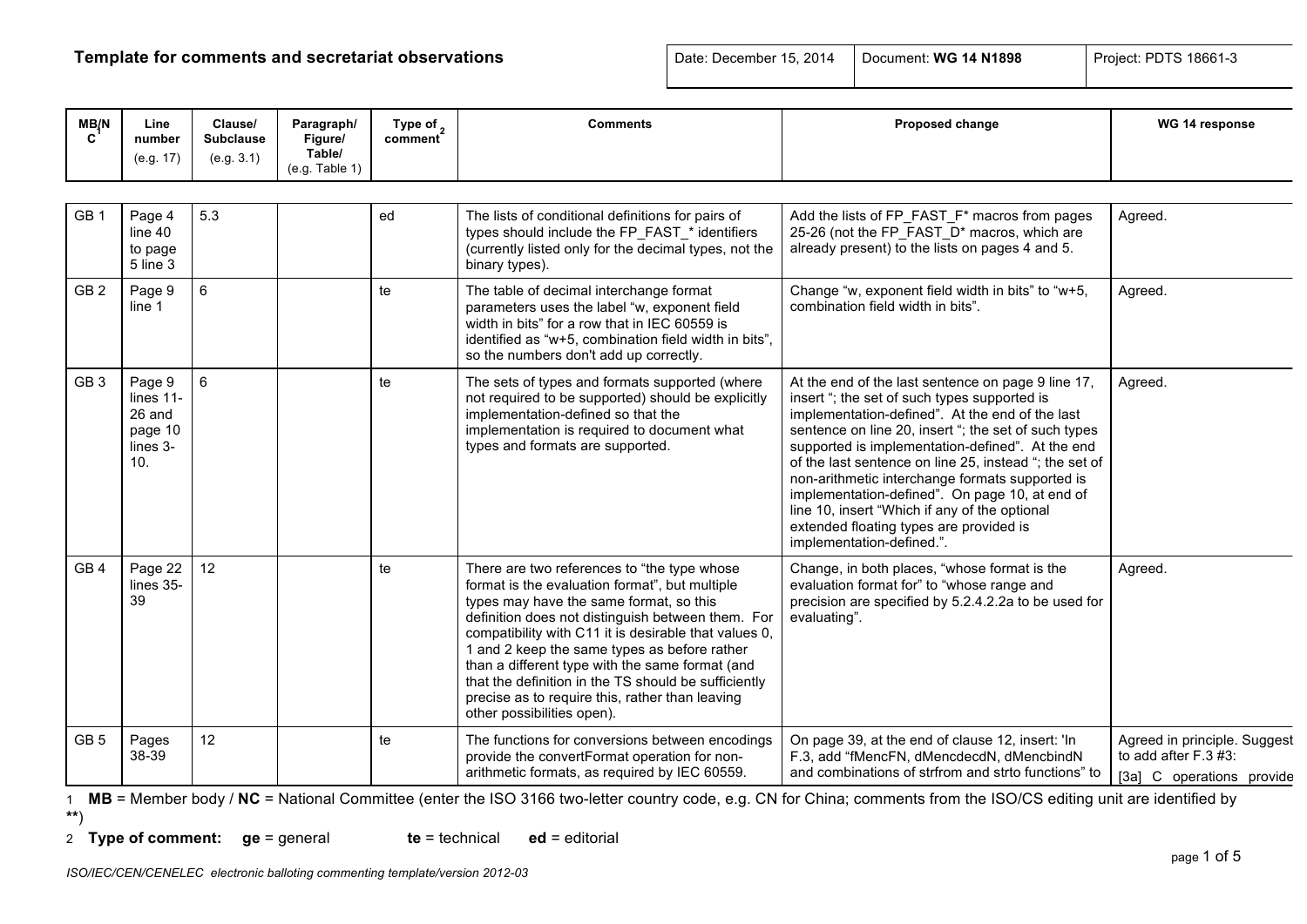# **Template for comments and secretariat observations Date: December 15, 2014** Document: **WG 14 N1898** Project: PDTS 18661-3

| MB/N            | Line<br>number<br>(e.g. 17)                                 | Clause/<br><b>Subclause</b><br>(e.g. 3.1) | Paragraph/<br>Figure/<br>Table/<br>(e.g. Table 1) | Type of $\alpha$<br>comment | <b>Comments</b>                                                                                                                                                                                                                                                                                                                                                                                                                                                                                    | Proposed change                                                                                                                                                                                                                                                                                                                                                                                                                                                                                                                                           | WG 14 response                                                                        |
|-----------------|-------------------------------------------------------------|-------------------------------------------|---------------------------------------------------|-----------------------------|----------------------------------------------------------------------------------------------------------------------------------------------------------------------------------------------------------------------------------------------------------------------------------------------------------------------------------------------------------------------------------------------------------------------------------------------------------------------------------------------------|-----------------------------------------------------------------------------------------------------------------------------------------------------------------------------------------------------------------------------------------------------------------------------------------------------------------------------------------------------------------------------------------------------------------------------------------------------------------------------------------------------------------------------------------------------------|---------------------------------------------------------------------------------------|
|                 |                                                             |                                           |                                                   |                             |                                                                                                                                                                                                                                                                                                                                                                                                                                                                                                    |                                                                                                                                                                                                                                                                                                                                                                                                                                                                                                                                                           |                                                                                       |
| GB <sub>1</sub> | Page 4<br>line 40<br>to page<br>5 line 3                    | 5.3                                       |                                                   | ed                          | The lists of conditional definitions for pairs of<br>types should include the FP_FAST_* identifiers<br>(currently listed only for the decimal types, not the<br>binary types).                                                                                                                                                                                                                                                                                                                     | Add the lists of FP_FAST_F* macros from pages<br>25-26 (not the FP FAST D* macros, which are<br>already present) to the lists on pages 4 and 5.                                                                                                                                                                                                                                                                                                                                                                                                           | Agreed.                                                                               |
| GB <sub>2</sub> | Page 9<br>line 1                                            | $\,6\,$                                   |                                                   | te                          | The table of decimal interchange format<br>parameters uses the label "w, exponent field<br>width in bits" for a row that in IEC 60559 is<br>identified as "w+5, combination field width in bits",<br>so the numbers don't add up correctly.                                                                                                                                                                                                                                                        | Change "w, exponent field width in bits" to "w+5,<br>combination field width in bits".                                                                                                                                                                                                                                                                                                                                                                                                                                                                    | Agreed.                                                                               |
| GB <sub>3</sub> | Page 9<br>lines 11-<br>26 and<br>page 10<br>lines 3-<br>10. | 6                                         |                                                   | te                          | The sets of types and formats supported (where<br>not required to be supported) should be explicitly<br>implementation-defined so that the<br>implementation is required to document what<br>types and formats are supported.                                                                                                                                                                                                                                                                      | At the end of the last sentence on page 9 line 17,<br>insert "; the set of such types supported is<br>implementation-defined". At the end of the last<br>sentence on line 20, insert "; the set of such types<br>supported is implementation-defined". At the end<br>of the last sentence on line 25, instead "; the set of<br>non-arithmetic interchange formats supported is<br>implementation-defined". On page 10, at end of<br>line 10, insert "Which if any of the optional<br>extended floating types are provided is<br>implementation-defined.". | Agreed.                                                                               |
| GB <sub>4</sub> | Page 22<br>lines 35-<br>39                                  | 12                                        |                                                   | te                          | There are two references to "the type whose<br>format is the evaluation format", but multiple<br>types may have the same format, so this<br>definition does not distinguish between them. For<br>compatibility with C11 it is desirable that values 0,<br>1 and 2 keep the same types as before rather<br>than a different type with the same format (and<br>that the definition in the TS should be sufficiently<br>precise as to require this, rather than leaving<br>other possibilities open). | Change, in both places, "whose format is the<br>evaluation format for" to "whose range and<br>precision are specified by 5.2.4.2.2a to be used for<br>evaluating".                                                                                                                                                                                                                                                                                                                                                                                        | Agreed.                                                                               |
| GB <sub>5</sub> | Pages<br>38-39                                              | 12                                        |                                                   | te                          | The functions for conversions between encodings<br>provide the convertFormat operation for non-<br>arithmetic formats, as required by IEC 60559.                                                                                                                                                                                                                                                                                                                                                   | On page 39, at the end of clause 12, insert: 'In<br>F.3, add "fMencFN, dMencdecdN, dMencbindN<br>and combinations of strfrom and strto functions" to                                                                                                                                                                                                                                                                                                                                                                                                      | Agreed in principle. Suggest<br>to add after $F.3 \#3$ :<br>[3a] C operations provide |

1 **MB** = Member body / **NC** = National Committee (enter the ISO 3166 two-letter country code, e.g. CN for China; comments from the ISO/CS editing unit are identified by **\*\***)

|  | 2 Type of comment: $ge = general$ |  |  | $te = technical$ $ed = editorial$ |
|--|-----------------------------------|--|--|-----------------------------------|
|--|-----------------------------------|--|--|-----------------------------------|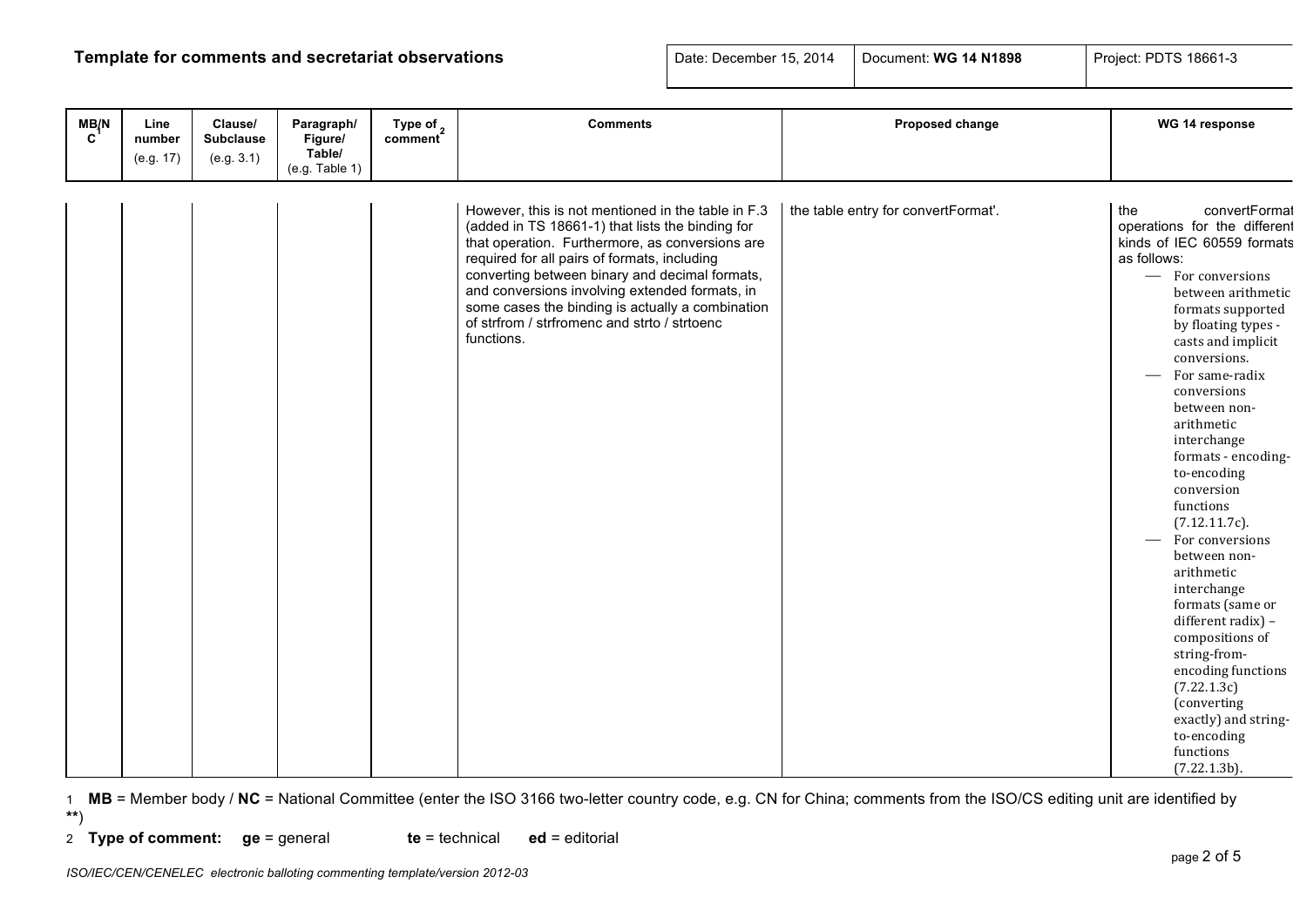# **Template for comments and secretariat observations Date: December 15, 2014** Document: **WG 14 N1898** Project: PDTS 18661-3

| $M$ <sub>C</sub> <sup><math>\frac{1}{2}</math>N</sup> | Line<br>number<br>(e.g. 17) | Clause/<br><b>Subclause</b><br>(e.g. 3.1) | Paragraph/<br>Figure/<br>Table/<br>(e.g. Table 1) | Type of $_2$<br>comment | <b>Comments</b>                                                                                                                                                                                                                                                                                                                                                                                                                 | Proposed change                     | WG 14 response                                                                                                                                                                                                                                                                                                                                                                                                                                                                                                                                                                                                                                                         |
|-------------------------------------------------------|-----------------------------|-------------------------------------------|---------------------------------------------------|-------------------------|---------------------------------------------------------------------------------------------------------------------------------------------------------------------------------------------------------------------------------------------------------------------------------------------------------------------------------------------------------------------------------------------------------------------------------|-------------------------------------|------------------------------------------------------------------------------------------------------------------------------------------------------------------------------------------------------------------------------------------------------------------------------------------------------------------------------------------------------------------------------------------------------------------------------------------------------------------------------------------------------------------------------------------------------------------------------------------------------------------------------------------------------------------------|
|                                                       |                             |                                           |                                                   |                         | However, this is not mentioned in the table in F.3<br>(added in TS 18661-1) that lists the binding for<br>that operation. Furthermore, as conversions are<br>required for all pairs of formats, including<br>converting between binary and decimal formats,<br>and conversions involving extended formats, in<br>some cases the binding is actually a combination<br>of strfrom / strfromenc and strto / strtoenc<br>functions. | the table entry for convertFormat'. | convertFormat<br>the<br>operations for the different<br>kinds of IEC 60559 formats<br>as follows:<br>- For conversions<br>between arithmetic<br>formats supported<br>by floating types -<br>casts and implicit<br>conversions.<br>For same-radix<br>conversions<br>between non-<br>arithmetic<br>interchange<br>formats - encoding-<br>to-encoding<br>conversion<br>functions<br>(7.12.11.7c).<br>For conversions<br>between non-<br>arithmetic<br>interchange<br>formats (same or<br>different radix) -<br>compositions of<br>string-from-<br>encoding functions<br>(7.22.1.3c)<br>(converting<br>exactly) and string-<br>to-encoding<br>functions<br>$(7.22.1.3b)$ . |

1 **MB** = Member body / **NC** = National Committee (enter the ISO 3166 two-letter country code, e.g. CN for China; comments from the ISO/CS editing unit are identified by **\*\***)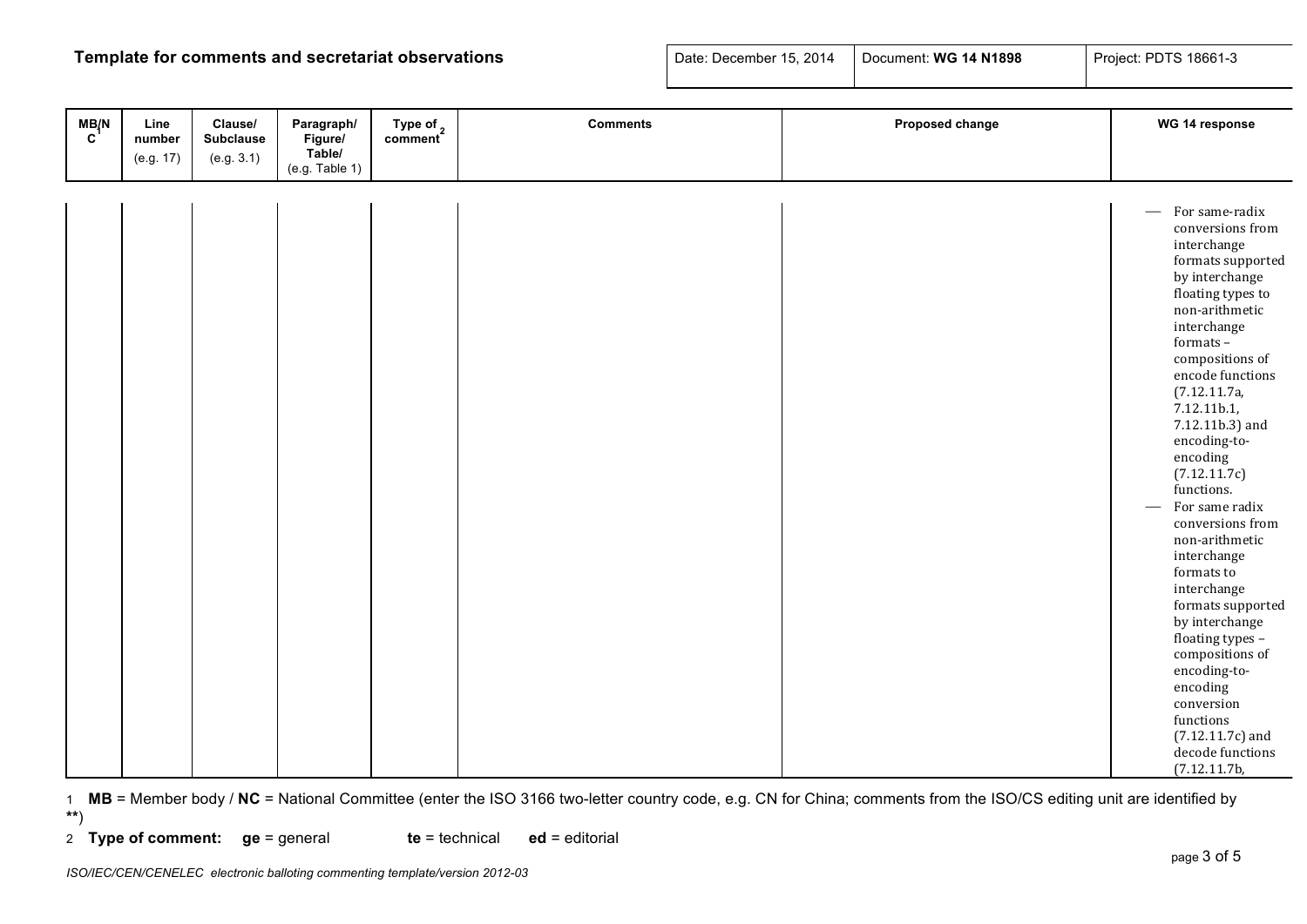# **Template for comments and secretariat observations**

| Date: December 15, 2014   Document: WG 14 N1898 |  | Project: PDTS 18661-3 |
|-------------------------------------------------|--|-----------------------|
|-------------------------------------------------|--|-----------------------|

| M B/N | Line<br>number | Clause/<br><b>Subclause</b> | Paragraph/<br>Figure/    | Type of <sub>2</sub> | <b>Comments</b> | Proposed change | WG 14 response                                                                                                                                                                                                                                                                                                                                                                                                                                                                                                                                                                                                       |
|-------|----------------|-----------------------------|--------------------------|----------------------|-----------------|-----------------|----------------------------------------------------------------------------------------------------------------------------------------------------------------------------------------------------------------------------------------------------------------------------------------------------------------------------------------------------------------------------------------------------------------------------------------------------------------------------------------------------------------------------------------------------------------------------------------------------------------------|
|       | (e.g. 17)      | (e.g. 3.1)                  | Table/<br>(e.g. Table 1) |                      |                 |                 |                                                                                                                                                                                                                                                                                                                                                                                                                                                                                                                                                                                                                      |
|       |                |                             |                          |                      |                 |                 |                                                                                                                                                                                                                                                                                                                                                                                                                                                                                                                                                                                                                      |
|       |                |                             |                          |                      |                 |                 | $-$ For same-radix<br>conversions from<br>interchange<br>formats supported<br>by interchange<br>floating types to<br>non-arithmetic<br>interchange<br>formats-<br>compositions of<br>encode functions<br>(7.12.11.7a,<br>7.12.11b.1,<br>7.12.11b.3) and<br>encoding-to-<br>encoding<br>(7.12.11.7c)<br>functions.<br>For same radix<br>conversions from<br>non-arithmetic<br>interchange<br>formats to<br>interchange<br>formats supported<br>by interchange<br>floating types -<br>compositions of<br>encoding-to-<br>encoding<br>conversion<br>functions<br>$(7.12.11.7c)$ and<br>decode functions<br>(7.12.11.7b, |

1 **MB** = Member body / **NC** = National Committee (enter the ISO 3166 two-letter country code, e.g. CN for China; comments from the ISO/CS editing unit are identified by **\*\***)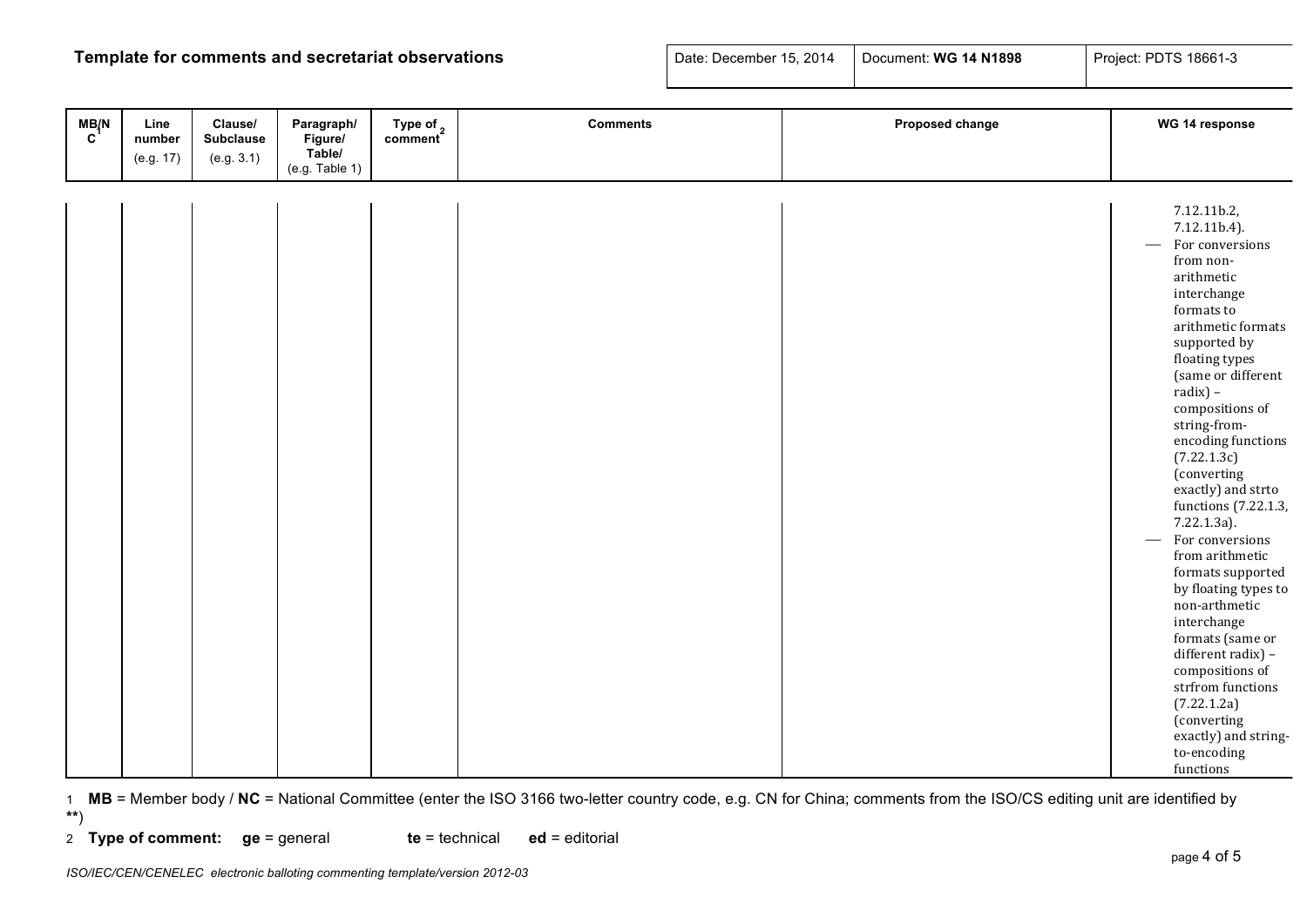# **Template for comments and secretariat observations**

| Date: December 15, 2014 | Document: WG 14 N1898 | Project: PDTS 18661-3 |
|-------------------------|-----------------------|-----------------------|
|-------------------------|-----------------------|-----------------------|

| M B/N | Line<br>number | Clause/<br><b>Subclause</b> | Paragraph/<br>Figure/    | Type of <sub>2</sub> | <b>Comments</b> | Proposed change | WG 14 response                                                                                                                                                                                                                                                                                                                                                                                                                                                                                                                                                                                                                                 |
|-------|----------------|-----------------------------|--------------------------|----------------------|-----------------|-----------------|------------------------------------------------------------------------------------------------------------------------------------------------------------------------------------------------------------------------------------------------------------------------------------------------------------------------------------------------------------------------------------------------------------------------------------------------------------------------------------------------------------------------------------------------------------------------------------------------------------------------------------------------|
|       | (e.g. 17)      | (e.g. 3.1)                  | Table/<br>(e.g. Table 1) |                      |                 |                 |                                                                                                                                                                                                                                                                                                                                                                                                                                                                                                                                                                                                                                                |
|       |                |                             |                          |                      |                 |                 |                                                                                                                                                                                                                                                                                                                                                                                                                                                                                                                                                                                                                                                |
|       |                |                             |                          |                      |                 |                 | 7.12.11b.2,<br>7.12.11b.4).<br>For conversions<br>from non-<br>arithmetic<br>interchange<br>formats to<br>arithmetic formats<br>supported by<br>floating types<br>(same or different<br>$radix$ ) –<br>compositions of<br>string-from-<br>encoding functions<br>(7.22.1.3c)<br>(converting<br>exactly) and strto<br>functions (7.22.1.3,<br>7.22.1.3a).<br>For conversions<br>from arithmetic<br>formats supported<br>by floating types to<br>non-arthmetic<br>interchange<br>formats (same or<br>different radix) -<br>compositions of<br>strfrom functions<br>(7.22.1.2a)<br>(converting<br>exactly) and string-<br>to-encoding<br>functions |

1 **MB** = Member body / **NC** = National Committee (enter the ISO 3166 two-letter country code, e.g. CN for China; comments from the ISO/CS editing unit are identified by **\*\***)